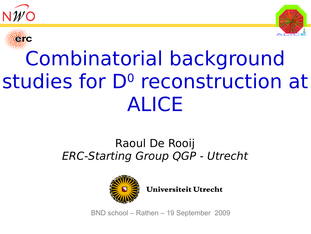





# Combinatorial background studies for D<sup>o</sup> reconstruction at ALICE

#### Raoul De Rooij ERC-Starting Group QGP - Utrecht



Universiteit Utrecht

BND school – Rathen – 19 September 2009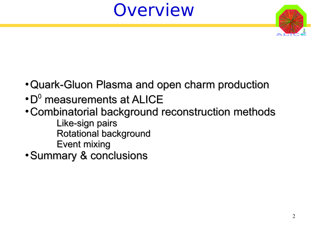## **Overview**



- Quark-Gluon Plasma and open charm production
- $\cdot$  D $^{\rm o}$  measurements at ALICE
- Combinatorial background reconstruction methods Like-sign pairs Rotational background
	- Event mixing
- Summary & conclusions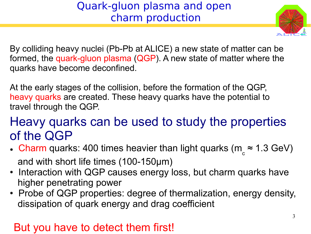#### Quark-gluon plasma and open charm production



By colliding heavy nuclei (Pb-Pb at ALICE) a new state of matter can be formed, the quark-gluon plasma (QGP). A new state of matter where the quarks have become deconfined.

At the early stages of the collision, before the formation of the QGP, heavy quarks are created. These heavy quarks have the potential to travel through the QGP.

#### Heavy quarks can be used to study the properties of the QGP

- Charm quarks: 400 times heavier than light quarks (m<sub>c</sub>  $\approx$  1.3 GeV) and with short life times (100-150μm)
- Interaction with QGP causes energy loss, but charm quarks have higher penetrating power
- Probe of QGP properties: degree of thermalization, energy density, dissipation of quark energy and drag coefficient

#### But you have to detect them first!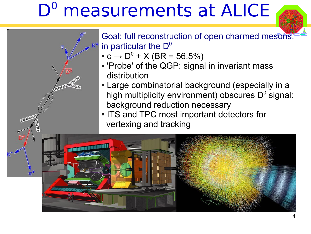# D<sup>o</sup> measurements at ALICE



- Goal: full reconstruction of open charmed mesons, in particular the  $D^0$ 
	- $\bullet$  c  $\rightarrow$  D<sup>0</sup> + X (BR = 56.5%)

**COLORADORES** 

Recognize

- 'Probe' of the QGP: signal in invariant mass distribution
- Large combinatorial background (especially in a high multiplicity environment) obscures  $D<sup>0</sup>$  signal: background reduction necessary
- ITS and TPC most important detectors for vertexing and tracking

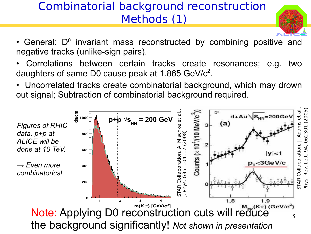#### Combinatorial background reconstruction Methods (1)



- General:  $D<sup>0</sup>$  invariant mass reconstructed by combining positive and negative tracks (unlike-sign pairs).
- Correlations between certain tracks create resonances; e.g. two daughters of same D0 cause peak at 1.865 GeV/ $c^2$ .
- Uncorrelated tracks create combinatorial background, which may drown out signal; Subtraction of combinatorial background required.

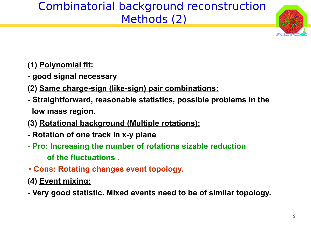#### Combinatorial background reconstruction Methods (2)



- **(1) Polynomial fit:**
- **good signal necessary**
- **(2) Same charge-sign (like-sign) pair combinations:**
- **Straightforward, reasonable statistics, possible problems in the low mass region.**
- **(3) Rotational background (Multiple rotations):**
- **Rotation of one track in x-y plane**
- **Pro: Increasing the number of rotations sizable reduction of the fluctuations .**
- **Cons: Rotating changes event topology.**
- **(4) Event mixing:**
- **Very good statistic. Mixed events need to be of similar topology.**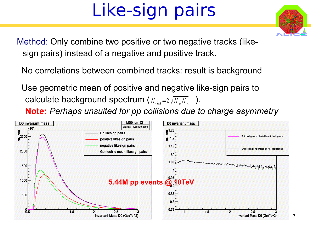# Like-sign pairs

Method: Only combine two positive or two negative tracks (like sign pairs) instead of a negative and positive track.

No correlations between combined tracks: result is background

 Use geometric mean of positive and negative like-sign pairs to calculate background spectrum ( $N_{GM}$ =2 $\sqrt{N_p N_n}$  ). **Note:** *Perhaps unsuited for pp collisions due to charge asymmetry*

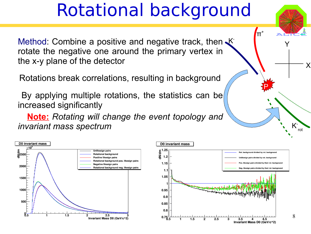### Rotational background

Method: Combine a positive and negative track, then K rotate the negative one around the primary vertex in the x-y plane of the detector

Rotations break correlations, resulting in background

By applying multiple rotations, the statistics can be increased significantly

 **Note:** *Rotating will change the event topology and invariant mass spectrum*





P

K rot

Y

X

 $\overline{\Pi}^*$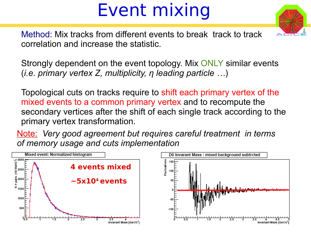# Event mixing



Method: Mix tracks from different events to break track to track correlation and increase the statistic.

Strongly dependent on the event topology. Mix ONLY similar events (*i.e. primary vertex Z, multiplicity, η leading particle …*)

Topological cuts on tracks require to shift each primary vertex of the mixed events to a common primary vertex and to recompute the secondary vertices after the shift of each single track according to the primary vertex transformation.

Note: *Very good agreement but requires careful treatment in terms of memory usage and cuts implementation*